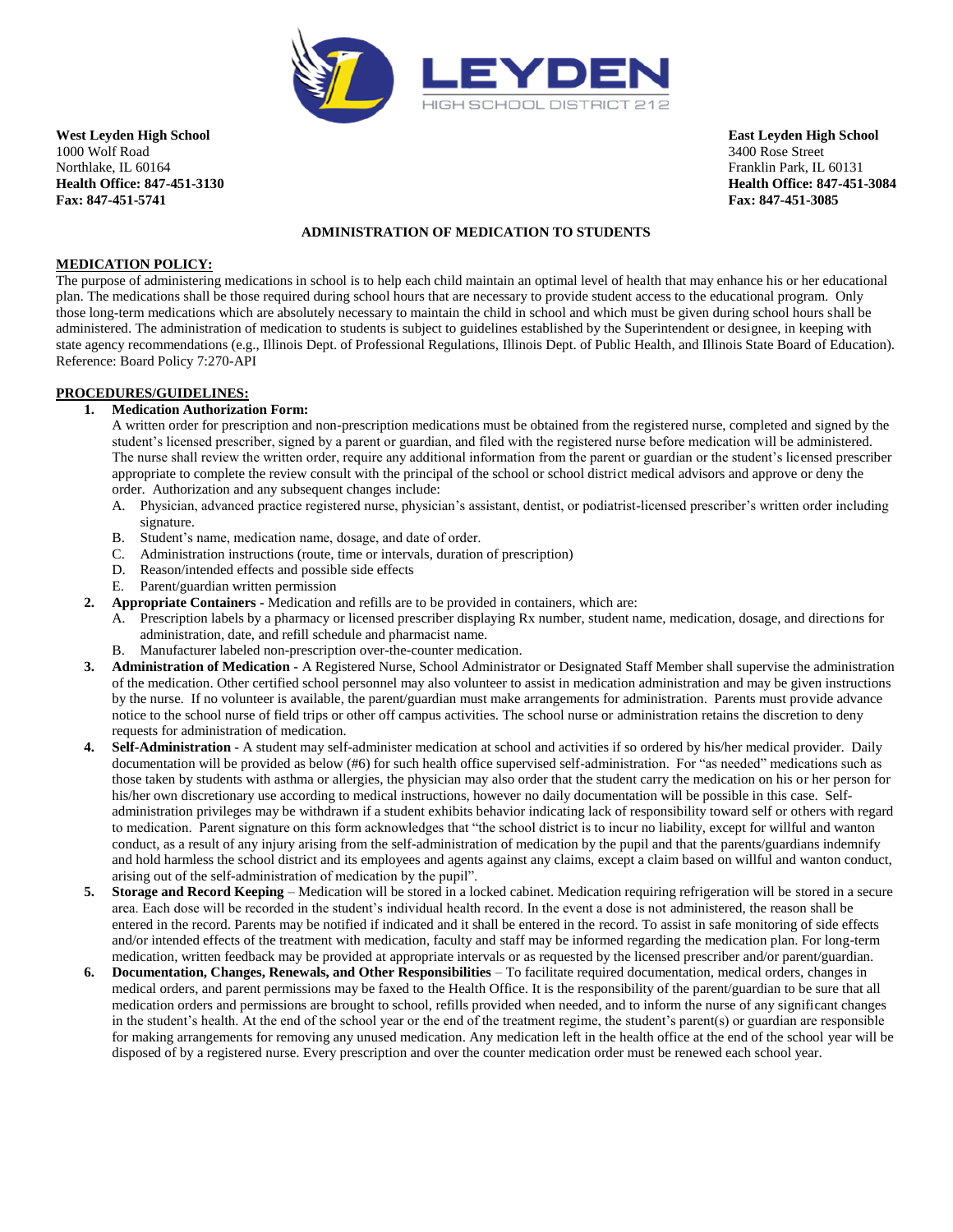

**West Leyden High School East Leyden High School** 1000 Wolf Road 3400 Rose Street Northlake, IL 60164 Franklin Park, IL 60131 **Health Office: 847-451-3130 Health Office: 847-451-3084 Fax: 847-451-5741 Fax: 847-451-3085**

## **ADMINISTRATION OF MEDICATION TO STUDENTS**

### **MEDICATION POLICY:**

The purpose of administering medications in school is to help each child maintain an optimal level of health that may enhance his or her educational plan. The medications shall be those required during school hours that are necessary to provide student access to the educational program. Only those long-term medications which are absolutely necessary to maintain the child in school and which must be given during school hours shall be administered. The administration of medication to students is subject to guidelines established by the Superintendent or designee, in keeping with state agency recommendations (e.g., Illinois Dept. of Professional Regulations, Illinois Dept. of Public Health, and Illinois State Board of Education). Reference: Board Policy 7:270-API

#### **PROCEDURES/GUIDELINES:**

#### **1. Medication Authorization Form:**

A written order for prescription and non-prescription medications must be obtained from the registered nurse, completed and signed by the student's licensed prescriber, signed by a parent or guardian, and filed with the registered nurse before medication will be administered. The nurse shall review the written order, require any additional information from the parent or guardian or the student's licensed prescriber appropriate to complete the review consult with the principal of the school or school district medical advisors and approve or deny the order. Authorization and any subsequent changes include:

- A. Physician, advanced practice registered nurse, physician's assistant, dentist, or podiatrist-licensed prescriber's written order including signature.
- B. Student's name, medication name, dosage, and date of order.
- C. Administration instructions (route, time or intervals, duration of prescription)
- D. Reason/intended effects and possible side effects
- E. Parent/guardian written permission
- **2. Appropriate Containers -** Medication and refills are to be provided in containers, which are:
	- A. Prescription labels by a pharmacy or licensed prescriber displaying Rx number, student name, medication, dosage, and directions for administration, date, and refill schedule and pharmacist name.
	- B. Manufacturer labeled non-prescription over-the-counter medication.
- **3. Administration of Medication -** A Registered Nurse, School Administrator or Designated Staff Member shall supervise the administration of the medication. Other certified school personnel may also volunteer to assist in medication administration and may be given instructions by the nurse. If no volunteer is available, the parent/guardian must make arrangements for administration. Parents must provide advance notice to the school nurse of field trips or other off campus activities. The school nurse or administration retains the discretion to deny requests for administration of medication.
- **4. Self-Administration** A student may self-administer medication at school and activities if so ordered by his/her medical provider. Daily documentation will be provided as below (#6) for such health office supervised self-administration. For "as needed" medications such as those taken by students with asthma or allergies, the physician may also order that the student carry the medication on his or her person for his/her own discretionary use according to medical instructions, however no daily documentation will be possible in this case. Selfadministration privileges may be withdrawn if a student exhibits behavior indicating lack of responsibility toward self or others with regard to medication. Parent signature on this form acknowledges that "the school district is to incur no liability, except for willful and wanton conduct, as a result of any injury arising from the self-administration of medication by the pupil and that the parents/guardians indemnify and hold harmless the school district and its employees and agents against any claims, except a claim based on willful and wanton conduct, arising out of the self-administration of medication by the pupil".
- **5. Storage and Record Keeping** Medication will be stored in a locked cabinet. Medication requiring refrigeration will be stored in a secure area. Each dose will be recorded in the student's individual health record. In the event a dose is not administered, the reason shall be entered in the record. Parents may be notified if indicated and it shall be entered in the record. To assist in safe monitoring of side effects and/or intended effects of the treatment with medication, faculty and staff may be informed regarding the medication plan. For long-term medication, written feedback may be provided at appropriate intervals or as requested by the licensed prescriber and/or parent/guardian.
- **6. Documentation, Changes, Renewals, and Other Responsibilities**  To facilitate required documentation, medical orders, changes in medical orders, and parent permissions may be faxed to the Health Office. It is the responsibility of the parent/guardian to be sure that all medication orders and permissions are brought to school, refills provided when needed, and to inform the nurse of any significant changes in the student's health. At the end of the school year or the end of the treatment regime, the student's parent(s) or guardian are responsible for making arrangements for removing any unused medication. Any medication left in the health office at the end of the school year will be disposed of by a registered nurse. Every prescription and over the counter medication order must be renewed each school year.